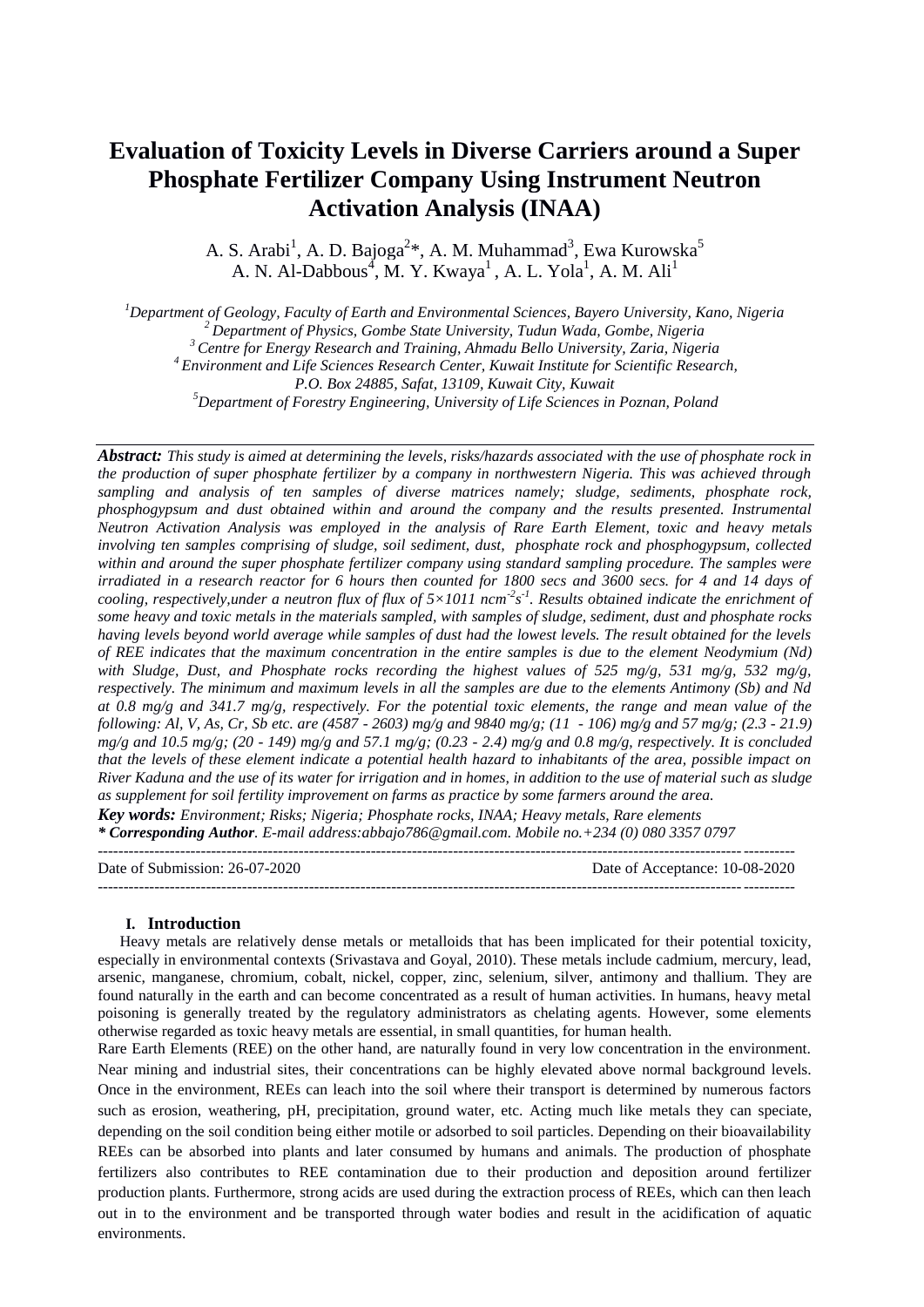# **Evaluation of Toxicity Levels in Diverse Carriers around a Super Phosphate Fertilizer Company Using Instrument Neutron Activation Analysis (INAA)**

A. S. Arabi<sup>1</sup>, A. D. Bajoga<sup>2</sup>\*, A. M. Muhammad<sup>3</sup>, Ewa Kurowska<sup>5</sup> A. N. Al-Dabbous<sup>4</sup>, M. Y. Kwaya<sup>1</sup>, A. L. Yola<sup>1</sup>, A. M. Ali<sup>1</sup>

*Department of Geology, Faculty of Earth and Environmental Sciences, Bayero University, Kano, Nigeria Department of Physics, Gombe State University, Tudun Wada, Gombe, Nigeria Centre for Energy Research and Training, Ahmadu Bello University, Zaria, Nigeria Environment and Life Sciences Research Center, Kuwait Institute for Scientific Research,* 

*P.O. Box 24885, Safat, 13109, Kuwait City, Kuwait*

*<sup>5</sup>Department of Forestry Engineering, University of Life Sciences in Poznan, Poland* 

*Abstract: This study is aimed at determining the levels, risks/hazards associated with the use of phosphate rock in the production of super phosphate fertilizer by a company in northwestern Nigeria. This was achieved through sampling and analysis of ten samples of diverse matrices namely; sludge, sediments, phosphate rock, phosphogypsum and dust obtained within and around the company and the results presented. Instrumental Neutron Activation Analysis was employed in the analysis of Rare Earth Element, toxic and heavy metals involving ten samples comprising of sludge, soil sediment, dust, phosphate rock and phosphogypsum, collected within and around the super phosphate fertilizer company using standard sampling procedure. The samples were irradiated in a research reactor for 6 hours then counted for 1800 secs and 3600 secs. for 4 and 14 days of*  cooling, respectively, under a neutron flux of flux of  $5\times1011$  ncm<sup>-2</sup>s<sup>-1</sup>. Results obtained indicate the enrichment of *some heavy and toxic metals in the materials sampled, with samples of sludge, sediment, dust and phosphate rocks having levels beyond world average while samples of dust had the lowest levels. The result obtained for the levels of REE indicates that the maximum concentration in the entire samples is due to the element Neodymium (Nd) with Sludge, Dust, and Phosphate rocks recording the highest values of 525 mg/g, 531 mg/g, 532 mg/g, respectively. The minimum and maximum levels in all the samples are due to the elements Antimony (Sb) and Nd at 0.8 mg/g and 341.7 mg/g, respectively. For the potential toxic elements, the range and mean value of the following: Al, V, As, Cr, Sb etc. are (4587 - 2603) mg/g and 9840 mg/g; (11 - 106) mg/g and 57 mg/g; (2.3 - 21.9) mg/g and 10.5 mg/g; (20 - 149) mg/g and 57.1 mg/g; (0.23 - 2.4) mg/g and 0.8 mg/g, respectively. It is concluded that the levels of these element indicate a potential health hazard to inhabitants of the area, possible impact on River Kaduna and the use of its water for irrigation and in homes, in addition to the use of material such as sludge as supplement for soil fertility improvement on farms as practice by some farmers around the area. Key words: Environment; Risks; Nigeria; Phosphate rocks, INAA; Heavy metals, Rare elements* 

*\* Corresponding Author. E-mail address:abbajo786@gmail.com. Mobile no.+234 (0) 080 3357 0797*

--------------------------------------------------------------------------------------------------------------------------------------- Date of Submission: 26-07-2020 Date of Acceptance: 10-08-2020 ---------------------------------------------------------------------------------------------------------------------------------------

## **I. Introduction**

Heavy metals are relatively dense metals or metalloids that has been implicated for their potential toxicity, especially in environmental contexts (Srivastava and Goyal, 2010). These metals include cadmium, mercury, lead, arsenic, manganese, chromium, cobalt, nickel, copper, zinc, selenium, silver, antimony and thallium. They are found naturally in the earth and can become concentrated as a result of human activities. In humans, heavy metal poisoning is generally treated by the regulatory administrators as chelating agents. However, some elements otherwise regarded as toxic heavy metals are essential, in small quantities, for human health.

Rare Earth Elements (REE) on the other hand, are naturally found in very low concentration in the environment. Near mining and industrial sites, their concentrations can be highly elevated above normal background levels. Once in the environment, REEs can leach into the soil where their transport is determined by numerous factors such as erosion, weathering, pH, precipitation, ground water, etc. Acting much like metals they can speciate, depending on the soil condition being either motile or adsorbed to soil particles. Depending on their bioavailability REEs can be absorbed into plants and later consumed by humans and animals. The production of phosphate fertilizers also contributes to REE contamination due to their production and deposition around fertilizer production plants. Furthermore, strong acids are used during the extraction process of REEs, which can then leach out in to the environment and be transported through water bodies and result in the acidification of aquatic environments.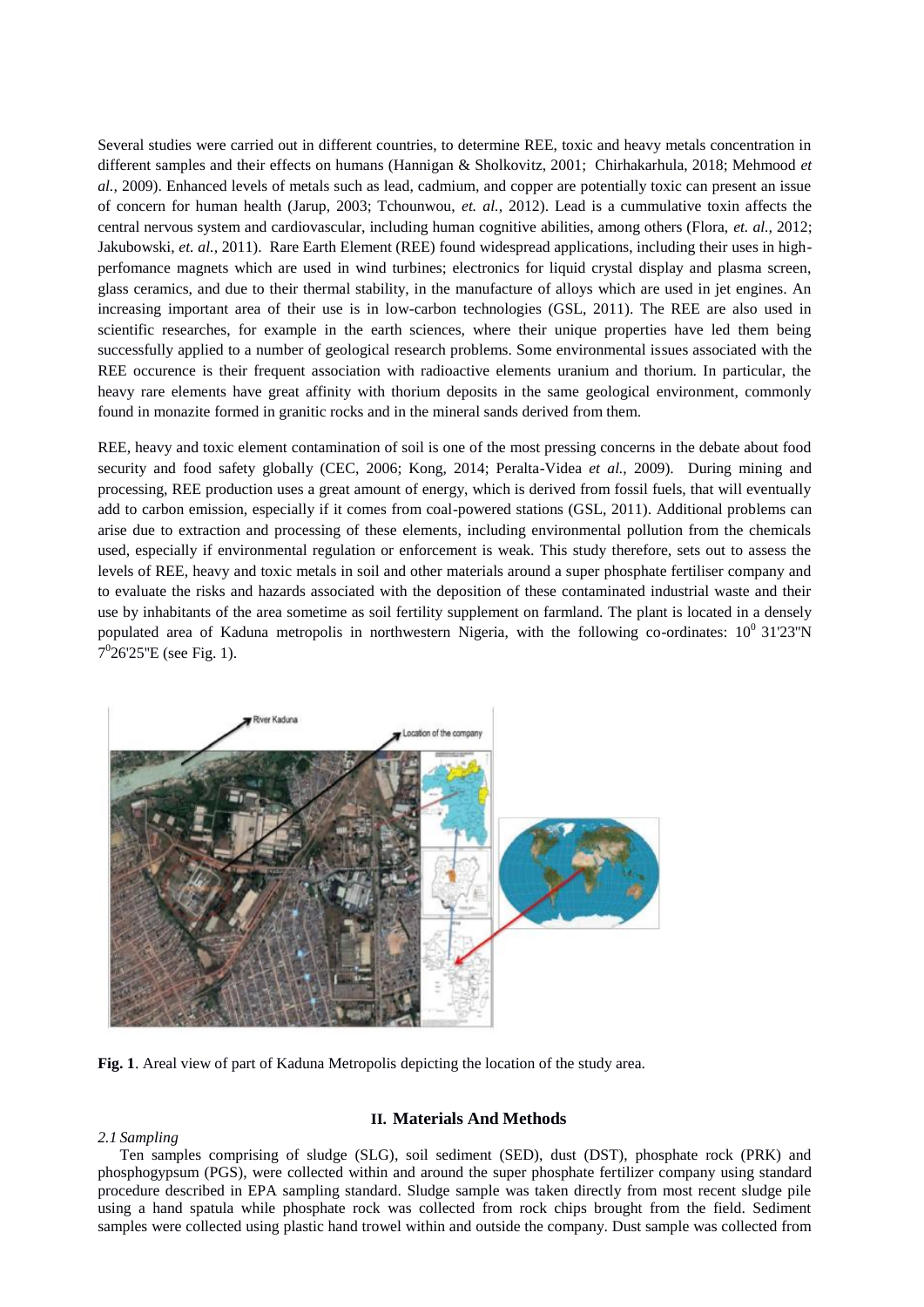Several studies were carried out in different countries, to determine REE, toxic and heavy metals concentration in different samples and their effects on humans (Hannigan & Sholkovitz, 2001; Chirhakarhula, 2018; Mehmood *et al.,* 2009). Enhanced levels of metals such as lead, cadmium, and copper are potentially toxic can present an issue of concern for human health (Jarup, 2003; Tchounwou, *et. al.,* 2012). Lead is a cummulative toxin affects the central nervous system and cardiovascular, including human cognitive abilities, among others (Flora, *et. al.,* 2012; Jakubowski, *et. al.,* 2011). Rare Earth Element (REE) found widespread applications, including their uses in highperfomance magnets which are used in wind turbines; electronics for liquid crystal display and plasma screen, glass ceramics, and due to their thermal stability, in the manufacture of alloys which are used in jet engines. An increasing important area of their use is in low-carbon technologies (GSL, 2011). The REE are also used in scientific researches, for example in the earth sciences, where their unique properties have led them being successfully applied to a number of geological research problems. Some environmental issues associated with the REE occurence is their frequent association with radioactive elements uranium and thorium. In particular, the heavy rare elements have great affinity with thorium deposits in the same geological environment, commonly found in monazite formed in granitic rocks and in the mineral sands derived from them.

REE, heavy and toxic element contamination of soil is one of the most pressing concerns in the debate about food security and food safety globally (CEC, 2006; Kong, 2014; Peralta-Videa *et al.*, 2009). During mining and processing, REE production uses a great amount of energy, which is derived from fossil fuels, that will eventually add to carbon emission, especially if it comes from coal-powered stations (GSL, 2011). Additional problems can arise due to extraction and processing of these elements, including environmental pollution from the chemicals used, especially if environmental regulation or enforcement is weak. This study therefore, sets out to assess the levels of REE, heavy and toxic metals in soil and other materials around a super phosphate fertiliser company and to evaluate the risks and hazards associated with the deposition of these contaminated industrial waste and their use by inhabitants of the area sometime as soil fertility supplement on farmland. The plant is located in a densely populated area of Kaduna metropolis in northwestern Nigeria, with the following co-ordinates:  $10^0$  31'23"N  $7^026'25''E$  (see Fig. 1).



**Fig. 1**. Areal view of part of Kaduna Metropolis depicting the location of the study area.

#### *2.1 Sampling*

# **II. Materials And Methods**

Ten samples comprising of sludge (SLG), soil sediment (SED), dust (DST), phosphate rock (PRK) and phosphogypsum (PGS), were collected within and around the super phosphate fertilizer company using standard procedure described in EPA sampling standard. Sludge sample was taken directly from most recent sludge pile using a hand spatula while phosphate rock was collected from rock chips brought from the field. Sediment samples were collected using plastic hand trowel within and outside the company. Dust sample was collected from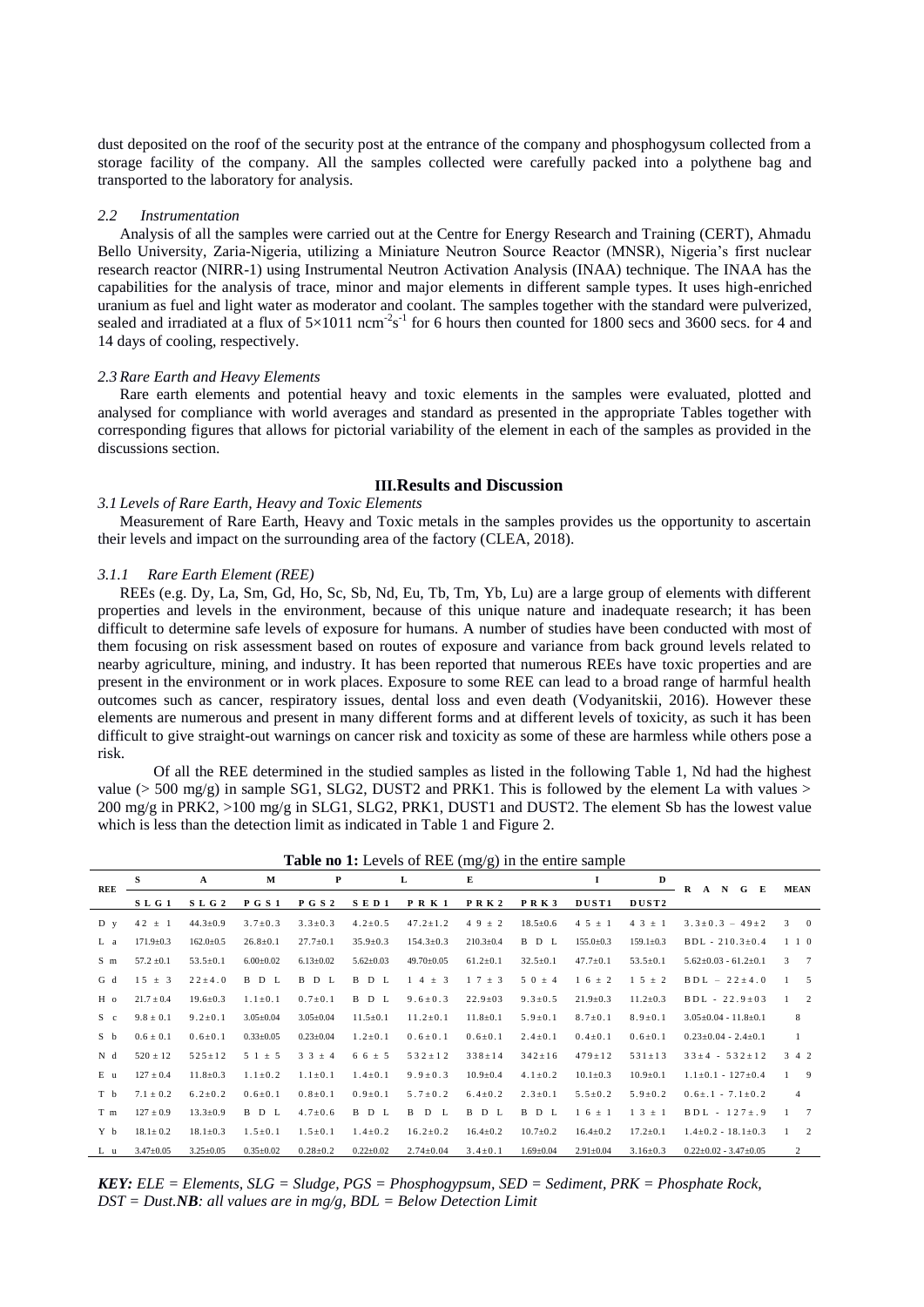dust deposited on the roof of the security post at the entrance of the company and phosphogysum collected from a storage facility of the company. All the samples collected were carefully packed into a polythene bag and transported to the laboratory for analysis.

#### *2.2 Instrumentation*

Analysis of all the samples were carried out at the Centre for Energy Research and Training (CERT), Ahmadu Bello University, Zaria-Nigeria, utilizing a Miniature Neutron Source Reactor (MNSR), Nigeria's first nuclear research reactor (NIRR-1) using Instrumental Neutron Activation Analysis (INAA) technique. The INAA has the capabilities for the analysis of trace, minor and major elements in different sample types. It uses high-enriched uranium as fuel and light water as moderator and coolant. The samples together with the standard were pulverized, sealed and irradiated at a flux of  $5\times1011$  ncm<sup>-2</sup>s<sup>-1</sup> for 6 hours then counted for 1800 secs and 3600 secs. for 4 and 14 days of cooling, respectively.

#### *2.3 Rare Earth and Heavy Elements*

Rare earth elements and potential heavy and toxic elements in the samples were evaluated, plotted and analysed for compliance with world averages and standard as presented in the appropriate Tables together with corresponding figures that allows for pictorial variability of the element in each of the samples as provided in the discussions section.

## **III.Results and Discussion**

## *3.1 Levels of Rare Earth, Heavy and Toxic Elements*

Measurement of Rare Earth, Heavy and Toxic metals in the samples provides us the opportunity to ascertain their levels and impact on the surrounding area of the factory (CLEA, 2018).

## *3.1.1 Rare Earth Element (REE)*

REEs (e.g. Dy, La, Sm, Gd, Ho, Sc, Sb, Nd, Eu, Tb, Tm, Yb, Lu) are a large group of elements with different properties and levels in the environment, because of this unique nature and inadequate research; it has been difficult to determine safe levels of exposure for humans. A number of studies have been conducted with most of them focusing on risk assessment based on routes of exposure and variance from back ground levels related to nearby agriculture, mining, and industry. It has been reported that numerous REEs have toxic properties and are present in the environment or in work places. Exposure to some REE can lead to a broad range of harmful health outcomes such as cancer, respiratory issues, dental loss and even death (Vodyanitskii, 2016). However these elements are numerous and present in many different forms and at different levels of toxicity, as such it has been difficult to give straight-out warnings on cancer risk and toxicity as some of these are harmless while others pose a risk.

Of all the REE determined in the studied samples as listed in the following Table 1, Nd had the highest value ( $>$  500 mg/g) in sample SG1, SLG2, DUST2 and PRK1. This is followed by the element La with values  $>$ 200 mg/g in PRK2, >100 mg/g in SLG1, SLG2, PRK1, DUST1 and DUST2. The element Sb has the lowest value which is less than the detection limit as indicated in Table 1 and Figure 2.

|     |                 |                  |                 |                 |                 | <b>Table no 1.</b> Levels of KEE (ling/g) in the entire sample |                  |                 |                   |                      |                                 |                                |
|-----|-----------------|------------------|-----------------|-----------------|-----------------|----------------------------------------------------------------|------------------|-----------------|-------------------|----------------------|---------------------------------|--------------------------------|
| REE | S               | $\mathbf{A}$     | M               | P               |                 | L                                                              | Е                |                 | 1                 | D                    | R A N G E                       | <b>MEAN</b>                    |
|     | S L G 1         | SLG <sub>2</sub> | <b>PGS1</b>     | <b>PGS2</b>     | $S$ E D 1       | <b>PRK1</b>                                                    | <b>PRK2</b>      | <b>PRK3</b>     | DUST <sub>1</sub> | DUST <sub>2</sub>    |                                 |                                |
| D y | $42 \pm 1$      | $44.3 \pm 0.9$   | $3.7 \pm 0.3$   | $3.3 \pm 0.3$   | $4.2 \pm 0.5$   | $47.2 \pm 1.2$                                                 | $49 \pm 2$       | $18.5 \pm 0.6$  | $45 \pm 1$        | $4 \t3 \t\pm\t1$     | $3.3 \pm 0.3 - 49 \pm 2$        | $3 \t 0$                       |
| L a | $171.9 \pm 0.3$ | $162.0 \pm 0.5$  | $26.8 \pm 0.1$  | $27.7 \pm 0.1$  | $35.9 \pm 0.3$  | $154.3 \pm 0.3$                                                | $210.3 \pm 0.4$  | B D L           | $155.0 \pm 0.3$   | $159.1 \pm 0.3$      | $BDL - 210.3 \pm 0.4$           | $1\quad1\quad0$                |
| S m | $57.2 \pm 0.1$  | $53.5 \pm 0.1$   | $6.00 \pm 0.02$ | $6.13 \pm 0.02$ | $5.62 \pm 0.03$ | 49.70±0.05                                                     | $61.2 \pm 0.1$   | $32.5 \pm 0.1$  | $47.7 \pm 0.1$    | $53.5 \pm 0.1$       | $5.62 \pm 0.03 - 61.2 \pm 0.1$  | 3<br>$\overline{7}$            |
| G d | $15 \pm 3$      | $22 \pm 4.0$     | B D L           | B D L           | B D L           | $1\ 4\ \pm\ 3$                                                 | $1 \t7 \t\pm\t3$ | $50 \pm 4$      | $1\,6\,\pm\,2$    | $1\;\;5\;\;\pm\;\;2$ | $BDL - 22 \pm 4.0$              | $\mathbf{1}$<br>- 5            |
| H o | $21.7 \pm 0.4$  | $19.6 \pm 0.3$   | $1.1 \pm 0.1$   | $0.7 \pm 0.1$   | B D L           | $9.6 \pm 0.3$                                                  | $22.9 \pm 03$    | $9.3 \pm 0.5$   | $21.9 \pm 0.3$    | $11.2 \pm 0.3$       | $BDL - 22.9 \pm 03$             | $\mathbf{1}$<br>2              |
| S c | $9.8 \pm 0.1$   | $9.2 \pm 0.1$    | $3.05 \pm 0.04$ | $3.05 \pm 0.04$ | $11.5 \pm 0.1$  | $11.2 \pm 0.1$                                                 | $11.8 \pm 0.1$   | $5.9 \pm 0.1$   | $8.7 \pm 0.1$     | $8.9 \pm 0.1$        | $3.05 \pm 0.04 - 11.8 \pm 0.1$  | 8                              |
| S b | $0.6 \pm 0.1$   | $0.6 \pm 0.1$    | $0.33 \pm 0.05$ | $0.23 \pm 0.04$ | $1.2 \pm 0.1$   | $0.6 \pm 0.1$                                                  | $0.6 \pm 0.1$    | $2.4 \pm 0.1$   | $0.4 \pm 0.1$     | $0.6 \pm 0.1$        | $0.23 \pm 0.04 - 2.4 \pm 0.1$   | -1                             |
| N d | $520 \pm 12$    | $525 \pm 12$     | $51 \pm 5$      | $33 \pm 4$      | $66 \pm 5$      | $532 \pm 12$                                                   | $338 \pm 14$     | $342 \pm 16$    | $479 \pm 12$      | $531 \pm 13$         | $33 \pm 4 - 532 \pm 12$         | $3\quad 4\quad 2$              |
| E u | $127 \pm 0.4$   | $11.8 \pm 0.3$   | $1.1 \pm 0.2$   | $1.1 \pm 0.1$   | $1.4 \pm 0.1$   | $9.9 \pm 0.3$                                                  | $10.9 \pm 0.4$   | $4.1 \pm 0.2$   | $10.1 \pm 0.3$    | $10.9 \pm 0.1$       | $1.1 \pm 0.1 - 127 \pm 0.4$     | $\overline{9}$<br>$\mathbf{1}$ |
| T b | $7.1 \pm 0.2$   | $6.2 \pm 0.2$    | $0.6 \pm 0.1$   | $0.8 \pm 0.1$   | $0.9 \pm 0.1$   | $5.7 \pm 0.2$                                                  | $6.4 \pm 0.2$    | $2.3 \pm 0.1$   | $5.5 \pm 0.2$     | $5.9 \pm 0.2$        | $0.6 \pm .1 - 7.1 \pm 0.2$      | $\overline{4}$                 |
| T m | $127 \pm 0.9$   | $13.3 \pm 0.9$   | B D L           | $4.7 \pm 0.6$   | B D L           | B D L                                                          | B D L            | B D L           | $1\,6\,\pm\,1$    | $1 \t3 \t\pm\t1$     | $BDL - 127 \pm .9$              | $\overline{7}$<br>$\mathbf{1}$ |
| Y b | $18.1 \pm 0.2$  | $18.1 \pm 0.3$   | $1.5 \pm 0.1$   | $1.5 \pm 0.1$   | $1.4 \pm 0.2$   | $16.2 \pm 0.2$                                                 | $16.4 \pm 0.2$   | $10.7 \pm 0.2$  | $16.4 \pm 0.2$    | $17.2 \pm 0.1$       | $1.4 \pm 0.2 - 18.1 \pm 0.3$    | 2<br>$\mathbf{1}$              |
| L u | $3.47 \pm 0.05$ | $3.25 \pm 0.05$  | $0.35 \pm 0.02$ | $0.28 \pm 0.2$  | $0.22 \pm 0.02$ | $2.74 \pm 0.04$                                                | $3.4 \pm 0.1$    | $1.69 \pm 0.04$ | $2.91 \pm 0.04$   | $3.16 \pm 0.3$       | $0.22 \pm 0.02 - 3.47 \pm 0.05$ | 2                              |

**Table no 1:** Levels of REE (mg/g) in the entire sample

*KEY: ELE = Elements, SLG = Sludge, PGS = Phosphogypsum, SED = Sediment, PRK = Phosphate Rock, DST = Dust.NB: all values are in mg/g, BDL = Below Detection Limit*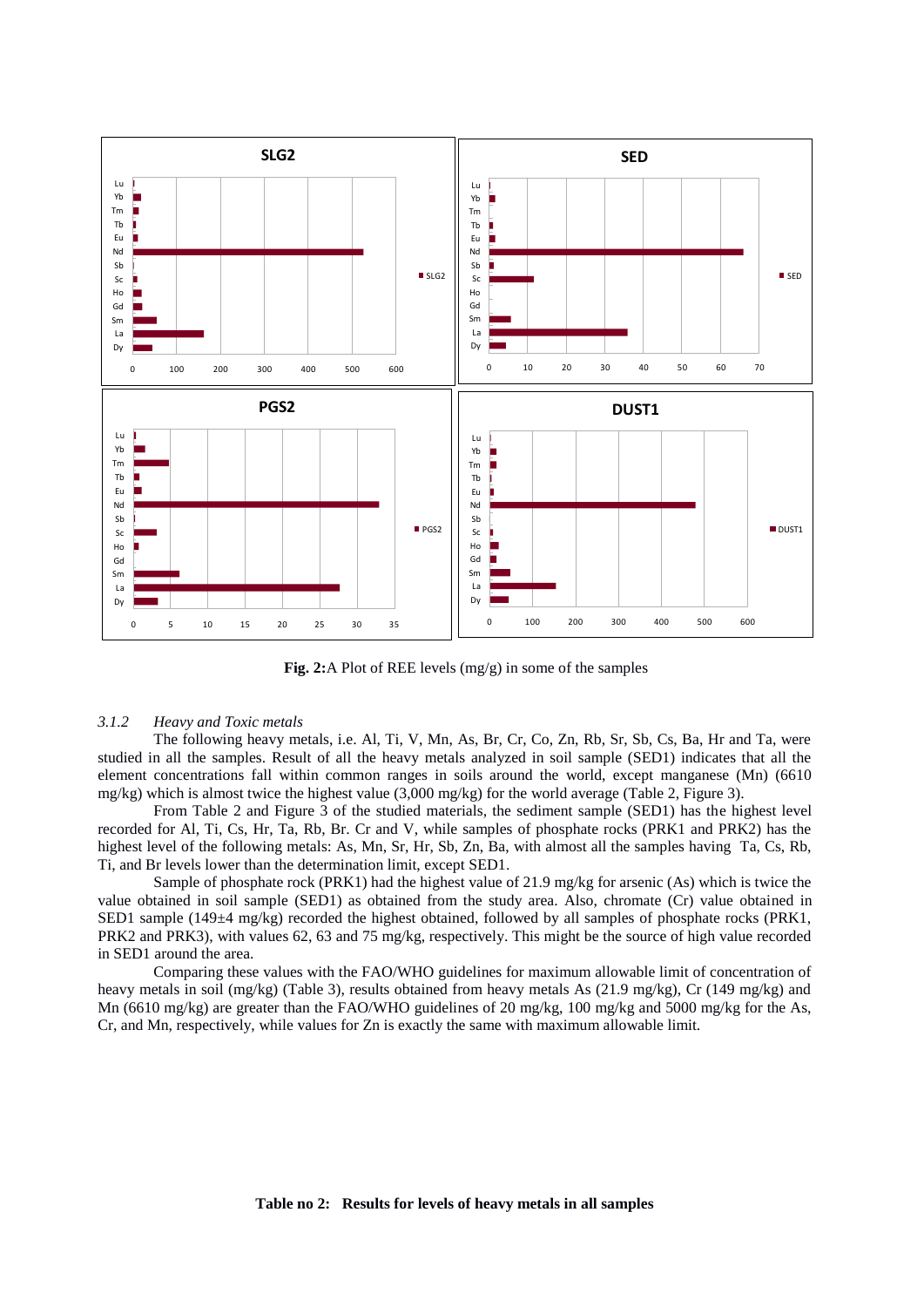

 **Fig. 2:**A Plot of REE levels (mg/g) in some of the samples

#### *3.1.2 Heavy and Toxic metals*

The following heavy metals, i.e. Al, Ti, V, Mn, As, Br, Cr, Co, Zn, Rb, Sr, Sb, Cs, Ba, Hr and Ta, were studied in all the samples. Result of all the heavy metals analyzed in soil sample (SED1) indicates that all the element concentrations fall within common ranges in soils around the world, except manganese (Mn) (6610 mg/kg) which is almost twice the highest value  $(3,000 \text{ mg/kg})$  for the world average (Table 2, Figure 3).

From Table 2 and Figure 3 of the studied materials, the sediment sample (SED1) has the highest level recorded for Al, Ti, Cs, Hr, Ta, Rb, Br. Cr and V, while samples of phosphate rocks (PRK1 and PRK2) has the highest level of the following metals: As, Mn, Sr, Hr, Sb, Zn, Ba, with almost all the samples having Ta, Cs, Rb, Ti, and Br levels lower than the determination limit, except SED1.

Sample of phosphate rock (PRK1) had the highest value of 21.9 mg/kg for arsenic (As) which is twice the value obtained in soil sample (SED1) as obtained from the study area. Also, chromate (Cr) value obtained in SED1 sample (149±4 mg/kg) recorded the highest obtained, followed by all samples of phosphate rocks (PRK1, PRK2 and PRK3), with values 62, 63 and 75 mg/kg, respectively. This might be the source of high value recorded in SED1 around the area.

Comparing these values with the FAO/WHO guidelines for maximum allowable limit of concentration of heavy metals in soil (mg/kg) (Table 3), results obtained from heavy metals As (21.9 mg/kg), Cr (149 mg/kg) and Mn (6610 mg/kg) are greater than the FAO/WHO guidelines of 20 mg/kg, 100 mg/kg and 5000 mg/kg for the As, Cr, and Mn, respectively, while values for Zn is exactly the same with maximum allowable limit.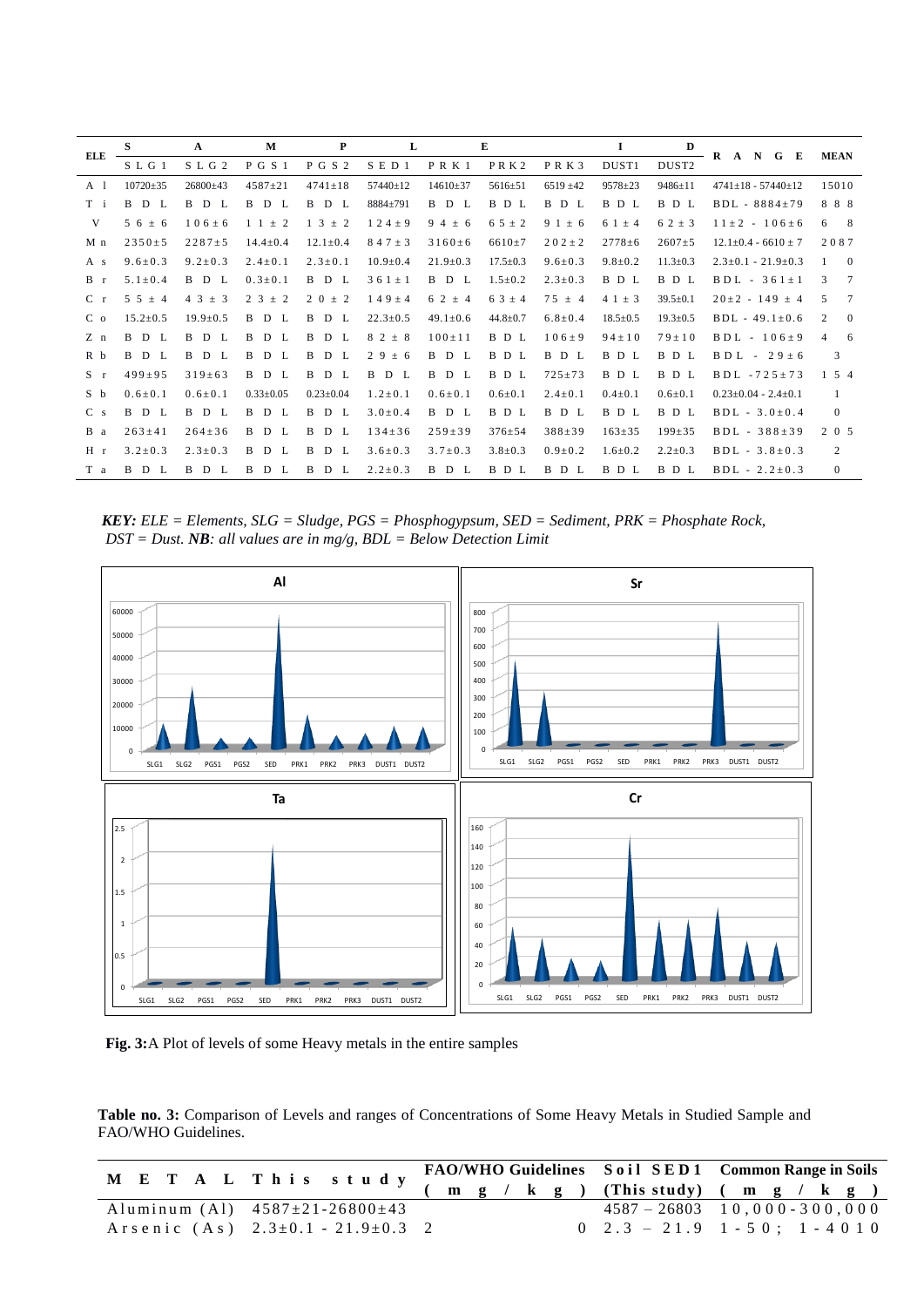| ELE                     | S                      | A                 | M                      | P                       | L              |                        | E                   |                        | 1              | D                 | R<br>$N$ G<br>E<br>$\mathbf{A}$ | <b>MEAN</b>           |
|-------------------------|------------------------|-------------------|------------------------|-------------------------|----------------|------------------------|---------------------|------------------------|----------------|-------------------|---------------------------------|-----------------------|
|                         | $S$ L G 1              | SLG2              | P G S 1                | P G S 2                 | S E D 1        | $P$ R K 1              | $P$ RK <sub>2</sub> | PRK3                   | DUST1          | DUST <sub>2</sub> |                                 |                       |
| A <sub>1</sub>          | $10720 \pm 35$         | $26800 \pm 43$    | $4587 \pm 21$          | $4741 \pm 18$           | $57440 \pm 12$ | $14610 \pm 37$         | $5616 \pm 51$       | $6519 \pm 42$          | $9578 \pm 23$  | $9486 \pm 11$     | $4741+18 - 57440+12$            | 15010                 |
| T i                     | B<br>D<br>L            | B<br>D L          | B<br>D L               | B<br>D<br>- L           | 8884±791       | <sub>B</sub><br>D<br>L | B D L               | <sub>B</sub><br>D<br>L | B D L          | B D L             | $BDL - 8884 \pm 79$             | 888                   |
| V                       | $56 \pm 6$             | $106 \pm 6$       | $\pm$ 2<br>$1\quad1$   | 3<br>$\pm$ 2            | $124 \pm 9$    | 94<br>± 6              | $6.5 \pm 2$         | 9 1<br>± 6             | $61 \pm 4$     | $62 \pm 3$        | $11 \pm 2 - 106 \pm 6$          | - 8<br>6              |
| M n                     | $2350 \pm 5$           | $2287 \pm 5$      | $14.4 \pm 0.4$         | $12.1 \pm 0.4$          | $847 \pm 3$    | $3160 \pm 6$           | $6610 \pm 7$        | $202 \pm 2$            | $2778 \pm 6$   | $2607 \pm 5$      | $12.1 \pm 0.4 - 6610 \pm 7$     | 2087                  |
| A s                     | $9.6 \pm 0.3$          | $9.2 \pm 0.3$     | $2.4 \pm 0.1$          | $2.3 \pm 0.1$           | $10.9 \pm 0.4$ | $21.9 \pm 0.3$         | $17.5 \pm 0.3$      | $9.6 \pm 0.3$          | $9.8 \pm 0.2$  | $11.3 \pm 0.3$    | $2.3 \pm 0.1 - 21.9 \pm 0.3$    | $\overline{0}$        |
| $B$ r                   | $5.1 \pm 0.4$          | B<br>D<br>L       | $0.3 \pm 0.1$          | <sub>B</sub><br>D<br>L  | $361 \pm 1$    | <sub>B</sub><br>D<br>L | $1.5 \pm 0.2$       | $2.3 \pm 0.3$          | B D L          | B D L             | $BDL - 361 \pm 1$               | 3<br>7                |
| C <sub>r</sub>          | $5\,5\,\pm\,4$         | 4 3<br>3<br>$\pm$ | 2 3<br>$\pm$ 2         | 2 0<br>$\pm$ 2          | $149 \pm 4$    | 6 2<br>$\pm$ 4         | $63 \pm 4$          | $75 \pm 4$             | $41 \pm 3$     | $39.5 \pm 0.1$    | $20 \pm 2 - 149 \pm 4$          | 5<br>$\tau$           |
| C <sub>o</sub>          | $15.2 \pm 0.5$         | $19.9 \pm 0.5$    | B<br>D<br>L            | <sub>B</sub><br>D<br>Ι. | $22.3 \pm 0.5$ | $49.1 \pm 0.6$         | $44.8 \pm 0.7$      | $6.8 \pm 0.4$          | $18.5 \pm 0.5$ | $19.3 \pm 0.5$    | $BDL - 49.1 \pm 0.6$            | 2<br>$\overline{0}$   |
| $Z$ n                   | <sub>B</sub><br>D<br>L | B<br>D L          | B<br>D<br>$\mathbf{L}$ | B<br>D<br>Ι.            | $82 \pm 8$     | $100 \pm 11$           | B D L               | $106 \pm 9$            | $94 \pm 10$    | $79 \pm 10$       | $BDL - 106 \pm 9$               | $\overline{4}$<br>- 6 |
| R b                     | <sub>B</sub><br>D L    | B<br>D L          | B<br>D<br>$\mathbf{L}$ | B<br>D<br>L             | 29<br>± 6      | B<br>D<br>L            | B<br>D L            | B D L                  | B D L          | B D L             | $B D L - 29 \pm 6$              | 3                     |
| $S \rightharpoondown r$ | $499 \pm 95$           | $319 \pm 63$      | B D L                  | B<br>D<br>L             | B<br>D<br>L    | B<br>D<br>Ι.           | B D L               | $725 \pm 73$           | B D L          | B D L             | $BDL - 725 \pm 73$              | $5\quad4$             |
| S b                     | $0.6 \pm 0.1$          | $0.6 \pm 0.1$     | $0.33 \pm 0.05$        | $0.23 \pm 0.04$         | $1.2 \pm 0.1$  | $0.6 \pm 0.1$          | $0.6 \pm 0.1$       | $2.4 \pm 0.1$          | $0.4 \pm 0.1$  | $0.6 \pm 0.1$     | $0.23 \pm 0.04 - 2.4 \pm 0.1$   | -1                    |
| C <sub>s</sub>          | <sub>B</sub><br>D<br>L | B<br>D L          | B<br>D L               | B<br>D<br>$\mathbf{L}$  | $3.0 \pm 0.4$  | <sub>B</sub><br>D<br>L | B D L               | B D L                  | B D L          | B D L             | $BDL - 3.0 \pm 0.4$             | $\overline{0}$        |
| B a                     | $263 \pm 41$           | $264 \pm 36$      | B<br>D L               | B<br>D L                | $134 \pm 36$   | $259 \pm 39$           | $376 \pm 54$        | $388 \pm 39$           | $163 \pm 35$   | $199 \pm 35$      | $BDL - 388 \pm 39$              | $2\quad0\quad5$       |
| H <sub>r</sub>          | $3.2 \pm 0.3$          | $2.3 \pm 0.3$     | D<br>B<br>$\mathbf{L}$ | B<br>D<br>- L           | $3.6 \pm 0.3$  | $3.7 \pm 0.3$          | $3.8 \pm 0.3$       | $0.9 \pm 0.2$          | $1.6 \pm 0.2$  | $2.2 \pm 0.3$     | $BDL - 3.8 \pm 0.3$             | 2                     |
| T a                     | D<br>B.<br>L           | B<br>D<br>L       | B<br>D<br>L            | B<br>D<br>Т.            | $2.2 \pm 0.3$  | D<br>B.<br>L           | B D L               | B D L                  | B D L          | B D L             | $BDL - 2.2 \pm 0.3$             | $\mathbf{0}$          |

*KEY: ELE = Elements, SLG = Sludge, PGS = Phosphogypsum, SED = Sediment, PRK = Phosphate Rock, DST = Dust. NB: all values are in mg/g, BDL = Below Detection Limit* 



 **Fig. 3:**A Plot of levels of some Heavy metals in the entire samples

**Table no. 3:** Comparison of Levels and ranges of Concentrations of Some Heavy Metals in Studied Sample and FAO/WHO Guidelines.

| M E T A L T h i s s t u d y FAO/WHO Guidelines Soil SED1 Common Range in Soils<br>(m g / k g ) (This study) (m g / k g ) |  |  |  |                                                   |  |  |  |
|--------------------------------------------------------------------------------------------------------------------------|--|--|--|---------------------------------------------------|--|--|--|
|                                                                                                                          |  |  |  |                                                   |  |  |  |
| Aluminum $(A1)$ $4587 \pm 21 - 26800 \pm 43$                                                                             |  |  |  | $4587 - 26803$ 10,000 - 300,000                   |  |  |  |
| Arsenic $(As)$ $2.3\pm0.1$ $-21.9\pm0.3$ 2                                                                               |  |  |  | $0 \quad 2.3 - 21.9 \quad 1 - 50; \quad 1 - 4010$ |  |  |  |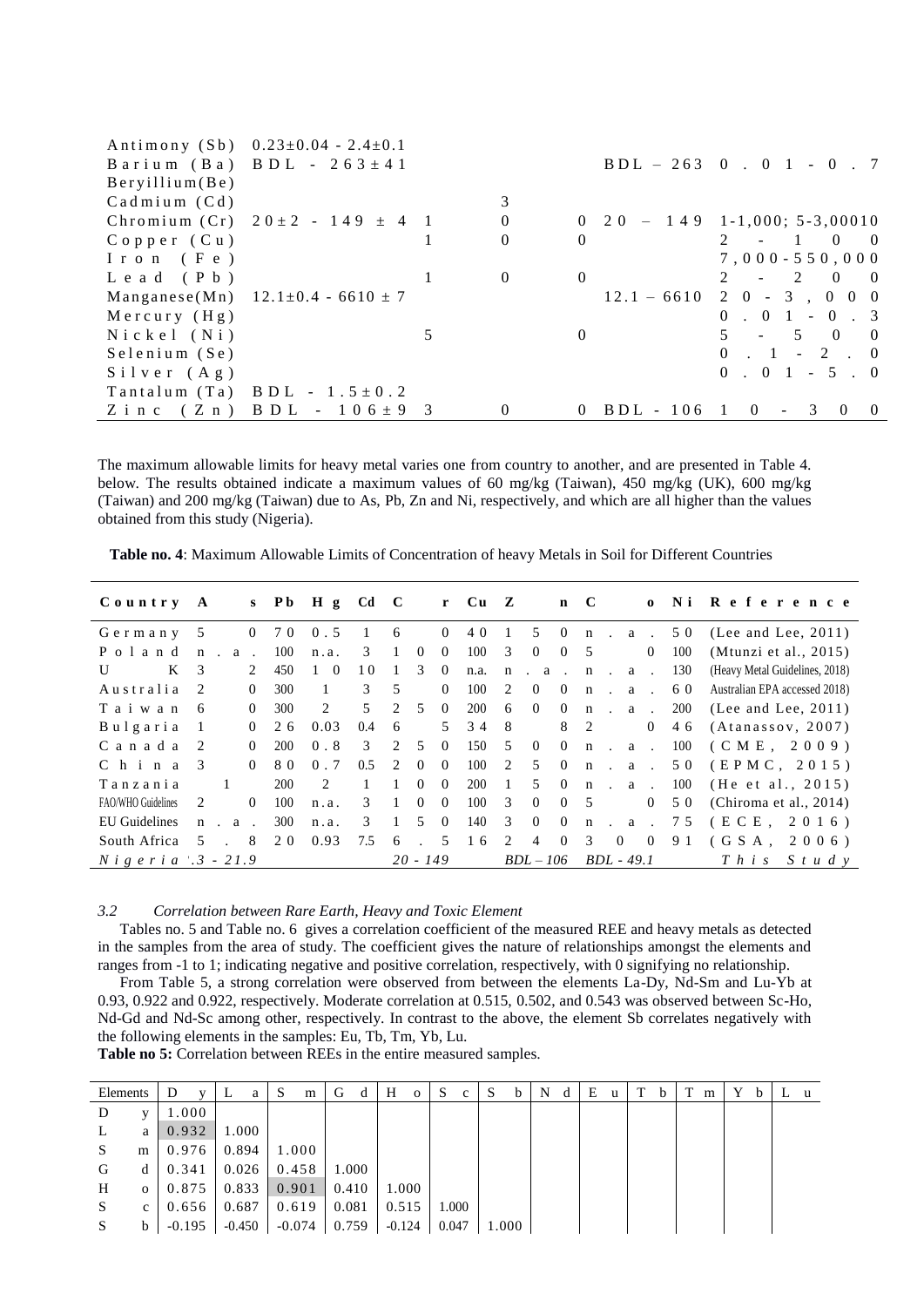|                    | Antimony (Sb) $0.23 \pm 0.04 - 2.4 \pm 0.1$ |          |          |             |                                                               |
|--------------------|---------------------------------------------|----------|----------|-------------|---------------------------------------------------------------|
|                    | Barium (Ba) BDL - $263 \pm 41$              |          |          |             | $BDL - 263$ 0 . 0 1 - 0 . 7                                   |
| Beryillium(Be)     |                                             |          |          |             |                                                               |
| $C$ admium $(Cd)$  |                                             | 3        |          |             |                                                               |
|                    | Chromium (Cr) $20 \pm 2 - 149 \pm 4$ 1      | $\Omega$ |          |             | $0 \quad 20 \quad - \quad 149 \quad 1-1,000; \quad 5-3,00010$ |
| $C$ opper $(Cu)$   |                                             | $\theta$ | $\theta$ |             | $2 - 1 0 0$                                                   |
| $I$ ron (Fe)       |                                             |          |          |             | $7,000 - 550,000$                                             |
| $L$ e a d (P b)    |                                             | $\left($ | $\Omega$ |             | $2 - 2 0 0$                                                   |
|                    | Manganese(Mn) $12.1 \pm 0.4 - 6610 \pm 7$   |          |          |             | $12.1 - 6610$ 2 0 - 3, 0 0 0                                  |
| $Mercury$ $(Hg)$   |                                             |          |          |             | $0 \t 0 \t 1 \t 0 \t 3$                                       |
| $N$ ickel (Ni)     |                                             |          | $\Omega$ |             | $5 - 5 0 0$                                                   |
| $S$ elenium $(Se)$ |                                             |          |          |             | $0 \t1 - 2 \t0$                                               |
| $S$ ilver $(Ag)$   |                                             |          |          |             | $0 \t 0 \t 1 - 5 \t 0$                                        |
| $T$ antalum $(Ta)$ | $B D L - 1.5 \pm 0.2$                       |          |          |             |                                                               |
|                    | Zinc $(Z \nvert n)$ BDL - $106 \pm 9$ 3     |          |          | $BDL - 106$ | $\Omega$<br>$\overline{3}$<br>$\Omega$<br>$\Omega$            |

The maximum allowable limits for heavy metal varies one from country to another, and are presented in Table 4. below. The results obtained indicate a maximum values of 60 mg/kg (Taiwan), 450 mg/kg (UK), 600 mg/kg (Taiwan) and 200 mg/kg (Taiwan) due to As, Pb, Zn and Ni, respectively, and which are all higher than the values obtained from this study (Nigeria).

| $C$ ountry                  | $\mathbf{A}$  |                |            | s Pb H g Cd |              | $\mathbf{C}$   |            |                | $r$ Cu $Z$ |              |                |                | $n \quad C$  |                     | $\mathbf{o}$   |            | Ni Reference                   |
|-----------------------------|---------------|----------------|------------|-------------|--------------|----------------|------------|----------------|------------|--------------|----------------|----------------|--------------|---------------------|----------------|------------|--------------------------------|
| Germany                     | 5             | $\Omega$       | 70         | 0.5         |              | 6              |            | $\overline{0}$ | 40         |              | 5              | $\bf{0}$       | n            | $\sim$              | a .            | 50         | (Lee and Lee, $2011$ )         |
| Poland                      | $\mathsf{n}$  | a              | 100        | n.a.        | 3            |                | $\Omega$   | $\Omega$       | 100        | 3            | $\overline{0}$ | $\overline{0}$ | 5            |                     | $\overline{0}$ | 100        | (Mtunzi et al., 2015)          |
| K<br>U                      | 3             | 2              | 450        | $1 \quad 0$ | 10           |                | 3          | $\overline{0}$ | n.a.       | $\mathbf n$  | $a \cdot n$ .  |                |              |                     | a .            | 130        | (Heavy Metal Guidelines, 2018) |
| Australia                   | $\mathcal{L}$ | $\Omega$       | 300        |             | 3            | 5              |            | $\theta$       | 100        | 2            | $\theta$       | $\Omega$       | $\mathbf n$  | $\sim$              | a .            | 60         | Australian EPA accessed 2018)  |
| Taiwan                      | -6            | $\overline{0}$ | 300        | 2           | 5            | $\overline{2}$ | 5          | $\overline{0}$ | 200        | 6            | $\overline{0}$ | $\overline{0}$ | $\mathbf{n}$ | $\alpha$ . $\alpha$ |                | <b>200</b> | (Lee and Lee, $2011$ )         |
| Bulgaria                    |               | $\Omega$       | 26         | 0.03        | 0.4          | 6              |            | $5^{\circ}$    | 34         | 8            |                | 8              | 2            |                     | $\overline{0}$ | 46         | (Atanassov, 2007)              |
| Canada                      | 2             | $\Omega$       | <b>200</b> | 0.8         | 3            | 2              | .5         | $\Omega$       | 150        | .5           | $\overline{0}$ | $\overline{0}$ | n            | $\sim 10^{-10}$     | a .            | 100        | (CME, 2009)                    |
| $C$ h i n a                 | $\mathcal{R}$ | $\Omega$       | 80         | 0.7         | 0.5          | $2^{1}$        | $\Omega$   | $\Omega$       | 100        | 2            | 5              | $\theta$       | $\mathbf n$  | $\cdot$ a $\cdot$   |                | 5 0        | (EPMC, 2015)                   |
| Tanzania                    |               |                | 200        | 2           | $\mathbf{1}$ |                | $\Omega$   | $\Omega$       | 200        | $\mathbf{1}$ | .5             | $\Omega$       | $\mathbf{n}$ | $\alpha$ .          |                | 100        | (He et al., 2015)              |
| FAO/WHO Guidelines          | 2             | $\Omega$       | 100        | n.a.        | 3            |                | $\Omega$   | $\theta$       | 100        | 3            | $\overline{0}$ | $\Omega$       | -5           |                     | $\overline{0}$ | 5 0        | (Chiroma et al., $2014$ )      |
| EU Guidelines               | $\mathbf n$   | a              | 300        | n.a.        | 3            |                | 5          | $\theta$       | 140        | 3            | $\theta$       | $\theta$       | $\mathbf{n}$ | $\mathbf{a}$        |                | 75         | (ECE,<br>2016                  |
| South Africa                | 5             | 8              | 20         | 0.93        | 7.5          | 6              |            | 5              | 16         | 2            | $\overline{4}$ | $\bf{0}$       | 3            | $\overline{0}$      | $\overline{0}$ | 91         | $(GSA$ .<br>2006)              |
| $N$ <i>igeria</i> .3 - 21.9 |               |                |            |             |              |                | $20 - 149$ |                |            |              | $BDL-106$      |                |              | $BDL - 49.1$        |                |            | $T$ h i s<br>$S$ tudy          |

*3.2 Correlation between Rare Earth, Heavy and Toxic Element*

Tables no. 5 and Table no. 6 gives a correlation coefficient of the measured REE and heavy metals as detected in the samples from the area of study. The coefficient gives the nature of relationships amongst the elements and ranges from -1 to 1; indicating negative and positive correlation, respectively, with 0 signifying no relationship.

From Table 5, a strong correlation were observed from between the elements La-Dy, Nd-Sm and Lu-Yb at 0.93, 0.922 and 0.922, respectively. Moderate correlation at 0.515, 0.502, and 0.543 was observed between Sc-Ho, Nd-Gd and Nd-Sc among other, respectively. In contrast to the above, the element Sb correlates negatively with the following elements in the samples: Eu, Tb, Tm, Yb, Lu.

**Table no 5:** Correlation between REEs in the entire measured samples.

| Elements |              | D        | v | ┺        | а | S | m        | G     | d | Н        | $\Omega$ | S     | c     | S     | <sub>b</sub> | N | d | E | u | Т | b | Т<br>m | Y | b | u |
|----------|--------------|----------|---|----------|---|---|----------|-------|---|----------|----------|-------|-------|-------|--------------|---|---|---|---|---|---|--------|---|---|---|
| D        | v            | 1.000    |   |          |   |   |          |       |   |          |          |       |       |       |              |   |   |   |   |   |   |        |   |   |   |
| L        | a            | 0.932    |   | 1.000    |   |   |          |       |   |          |          |       |       |       |              |   |   |   |   |   |   |        |   |   |   |
| S        | m            | 0.976    |   | 0.894    |   |   | 1.000    |       |   |          |          |       |       |       |              |   |   |   |   |   |   |        |   |   |   |
| G        | d            | 0.341    |   | 0.026    |   |   | 0.458    | 1.000 |   |          |          |       |       |       |              |   |   |   |   |   |   |        |   |   |   |
| H        | $\mathbf{o}$ | 0.875    |   | 0.833    |   |   | 0.901    | 0.410 |   | 1.000    |          |       |       |       |              |   |   |   |   |   |   |        |   |   |   |
| S        | c            | 0.656    |   | 0.687    |   |   | 0.619    | 0.081 |   | 0.515    |          |       | 1.000 |       |              |   |   |   |   |   |   |        |   |   |   |
| S        | b            | $-0.195$ |   | $-0.450$ |   |   | $-0.074$ | 0.759 |   | $-0.124$ |          | 0.047 |       | 1.000 |              |   |   |   |   |   |   |        |   |   |   |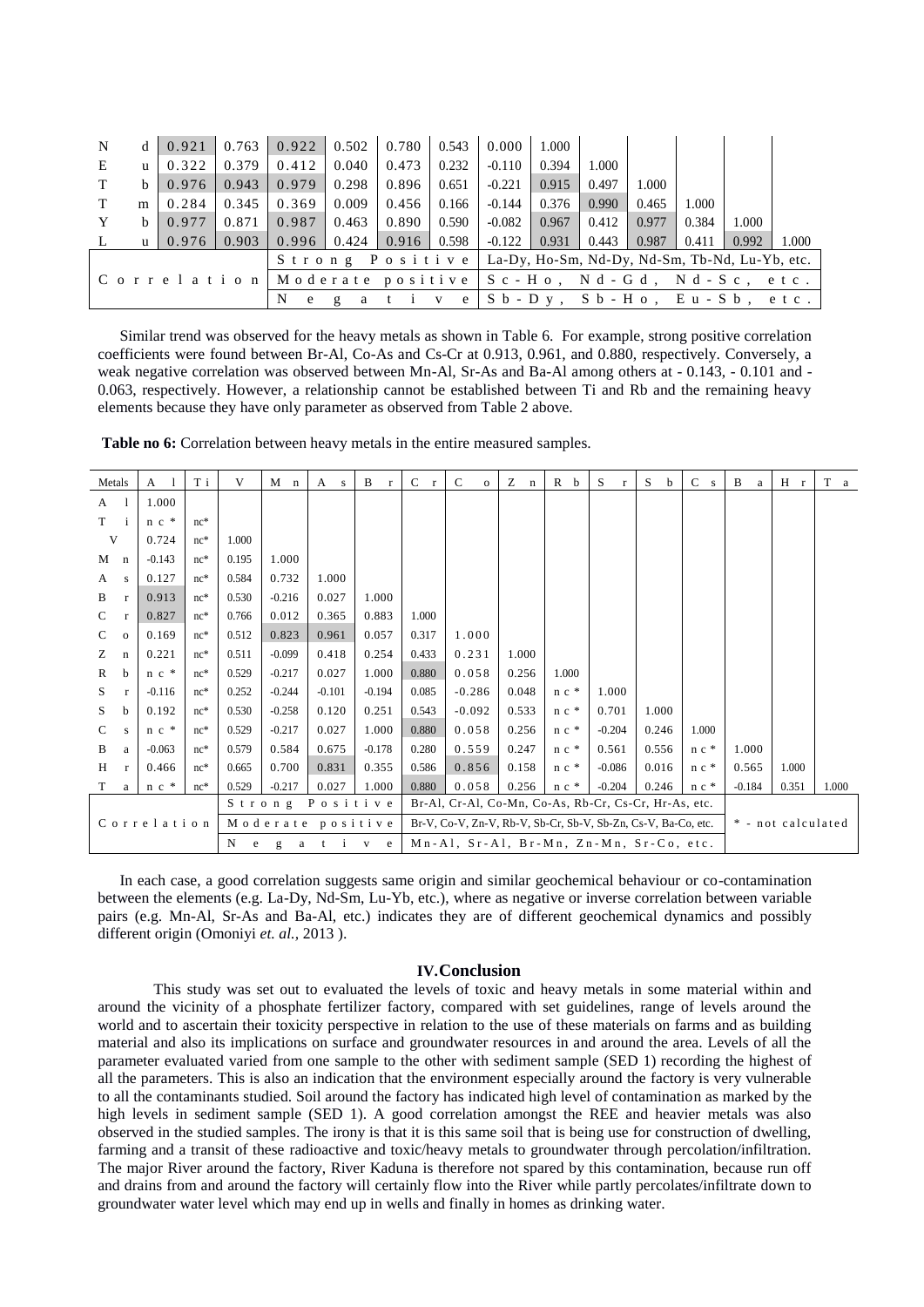| N | d            | 0.921 | 0.763 | 0.922                                                       |              | $0.502 \pm 0.780$                                                            |       | $0.543 \pm 0.000$            | 1.000 |       |       |       |       |       |
|---|--------------|-------|-------|-------------------------------------------------------------|--------------|------------------------------------------------------------------------------|-------|------------------------------|-------|-------|-------|-------|-------|-------|
| E |              | 0.322 | 0.379 | 0.412                                                       | 0.040        | 0.473                                                                        | 0.232 | $-0.110$                     | 0.394 | 1.000 |       |       |       |       |
| T | b.           | 0.976 | 0.943 | 0.979                                                       | 0.298        | 0.896                                                                        | 0.651 | $-0.221$                     | 0.915 | 0.497 | 1.000 |       |       |       |
| T | m            | 0.284 | 0.345 | 0.369                                                       | 0.009        | 0.456                                                                        | 0.166 | $-0.144$                     | 0.376 | 0.990 | 0.465 | 1.000 |       |       |
| Y | b.           | 0.977 | 0.871 | 0.987                                                       | 0.463        | 0.890                                                                        | 0.590 | $-0.082$                     | 0.967 | 0.412 | 0.977 | 0.384 | 1.000 |       |
|   | $\mathbf{u}$ | 0.976 | 0.903 | 0.996                                                       | 0.424        | 0.916                                                                        | 0.598 | $-0.122$                     | 0.931 | 0.443 | 0.987 | 0.411 | 0.992 | 1.000 |
|   |              |       |       |                                                             |              | S t r o n g P o s i t i v e   La-Dy, Ho-Sm, Nd-Dy, Nd-Sm, Tb-Nd, Lu-Yb, etc. |       |                              |       |       |       |       |       |       |
|   |              |       |       | Correlation   Moderate positive   Sc-Ho, Nd-Gd, Nd-Sc, etc. |              |                                                                              |       |                              |       |       |       |       |       |       |
|   |              |       |       | N<br>e                                                      | $\mathbf{g}$ | a ti                                                                         |       | ve Sb-Dy, Sb-Ho, Eu-Sb, etc. |       |       |       |       |       |       |

Similar trend was observed for the heavy metals as shown in Table 6. For example, strong positive correlation coefficients were found between Br-Al, Co-As and Cs-Cr at 0.913, 0.961, and 0.880, respectively. Conversely, a weak negative correlation was observed between Mn-Al, Sr-As and Ba-Al among others at - 0.143, - 0.101 and - 0.063, respectively. However, a relationship cannot be established between Ti and Rb and the remaining heavy elements because they have only parameter as observed from Table 2 above.

**Table no 6:** Correlation between heavy metals in the entire measured samples.

| Metals        |              | A           | T i   | V                                                                                                         | $M$ n    | $\mathbf{A}$<br>${\bf S}$ | B<br>$\Gamma$ | $\mathbf{C}$<br>$\Gamma$ | $\mathbf C$<br>$\mathbf{o}$                                   | $Z -$<br>$\mathbf n$ | $\mathbb{R}$<br>b  | S<br>$\Gamma$ | S<br>$\mathbf b$ | $\mathbf C$<br>${\bf S}$ | B<br>a   | H<br>$\mathbf r$ | T<br>a |
|---------------|--------------|-------------|-------|-----------------------------------------------------------------------------------------------------------|----------|---------------------------|---------------|--------------------------|---------------------------------------------------------------|----------------------|--------------------|---------------|------------------|--------------------------|----------|------------------|--------|
| A             |              | 1.000       |       |                                                                                                           |          |                           |               |                          |                                                               |                      |                    |               |                  |                          |          |                  |        |
| T             |              | $n c *$     | $nc*$ |                                                                                                           |          |                           |               |                          |                                                               |                      |                    |               |                  |                          |          |                  |        |
| V             |              | 0.724       | $nc*$ | 1.000                                                                                                     |          |                           |               |                          |                                                               |                      |                    |               |                  |                          |          |                  |        |
| M             | $\mathbf n$  | $-0.143$    | $nc*$ | 0.195                                                                                                     | 1.000    |                           |               |                          |                                                               |                      |                    |               |                  |                          |          |                  |        |
| A             | $\mathbf S$  | 0.127       | $nc*$ | 0.584                                                                                                     | 0.732    | 1.000                     |               |                          |                                                               |                      |                    |               |                  |                          |          |                  |        |
| B             | $\mathbf{r}$ | 0.913       | $nc*$ | 0.530                                                                                                     | $-0.216$ | 0.027                     | 1.000         |                          |                                                               |                      |                    |               |                  |                          |          |                  |        |
| C             | $\mathbf{r}$ | 0.827       | $nc*$ | 0.766                                                                                                     | 0.012    | 0.365                     | 0.883         | 1.000                    |                                                               |                      |                    |               |                  |                          |          |                  |        |
| $\mathcal{C}$ | $\mathbf{O}$ | 0.169       | $nc*$ | 0.512                                                                                                     | 0.823    | 0.961                     | 0.057         | 0.317                    | 1.000                                                         |                      |                    |               |                  |                          |          |                  |        |
| Z             | $\mathbf n$  | 0.221       | $nc*$ | 0.511                                                                                                     | $-0.099$ | 0.418                     | 0.254         | 0.433                    | 0.231                                                         | 1.000                |                    |               |                  |                          |          |                  |        |
| $\mathbb{R}$  | b            | $n c *$     | $nc*$ | 0.529                                                                                                     | $-0.217$ | 0.027                     | 1.000         | 0.880                    | 0.058                                                         | 0.256                | 1.000              |               |                  |                          |          |                  |        |
| S.            | $\mathbf{r}$ | $-0.116$    | $nc*$ | 0.252                                                                                                     | $-0.244$ | $-0.101$                  | $-0.194$      | 0.085                    | $-0.286$                                                      | 0.048                | $n c *$            | 1.000         |                  |                          |          |                  |        |
| S.            | b            | 0.192       | $nc*$ | 0.530                                                                                                     | $-0.258$ | 0.120                     | 0.251         | 0.543                    | $-0.092$                                                      | 0.533                | $n c *$            | 0.701         | 1.000            |                          |          |                  |        |
| C             | s            | $n c$ *     | $nc*$ | 0.529                                                                                                     | $-0.217$ | 0.027                     | 1.000         | 0.880                    | 0.058                                                         | 0.256                | $n c *$            | $-0.204$      | 0.246            | 1.000                    |          |                  |        |
| B             | a            | $-0.063$    | $nc*$ | 0.579                                                                                                     | 0.584    | 0.675                     | $-0.178$      | 0.280                    | 0.559                                                         | 0.247                | $n c *$            | 0.561         | 0.556            | $n c$ *                  | 1.000    |                  |        |
| H             | $\mathbf{r}$ | 0.466       | $nc*$ | 0.665                                                                                                     | 0.700    | 0.831                     | 0.355         | 0.586                    | 0.856                                                         | 0.158                | $n c *$            | $-0.086$      | 0.016            | $n c$ *                  | 0.565    | 1.000            |        |
| T             | a            | $n c *$     | $nc*$ | 0.529                                                                                                     | $-0.217$ | 0.027                     | 1.000         | 0.880                    | 0.058                                                         | 0.256                | $n c$ *            | $-0.204$      | 0.246            | $n c$ *                  | $-0.184$ | 0.351            | 1.000  |
|               |              |             |       |                                                                                                           | Strong   | Positive                  |               |                          | Br-Al, Cr-Al, Co-Mn, Co-As, Rb-Cr, Cs-Cr, Hr-As, etc.         |                      |                    |               |                  |                          |          |                  |        |
|               |              | Correlation |       |                                                                                                           |          | Moderate positive         |               |                          | Br-V, Co-V, Zn-V, Rb-V, Sb-Cr, Sb-V, Sb-Zn, Cs-V, Ba-Co, etc. |                      | * - not calculated |               |                  |                          |          |                  |        |
|               |              |             |       | $\mathbf N$<br>$Mn-Al$ , $Sr-Al$ , $Br-Mn$ , $Zn-Mn$ , $Sr-Co$ , etc.<br>$\mathbf{v}$<br>g<br>e<br>e<br>a |          |                           |               |                          |                                                               |                      |                    |               |                  |                          |          |                  |        |

In each case, a good correlation suggests same origin and similar geochemical behaviour or co-contamination between the elements (e.g. La-Dy, Nd-Sm, Lu-Yb, etc.), where as negative or inverse correlation between variable pairs (e.g. Mn-Al, Sr-As and Ba-Al, etc.) indicates they are of different geochemical dynamics and possibly different origin (Omoniyi *et. al.,* 2013 ).

#### **IV.Conclusion**

This study was set out to evaluated the levels of toxic and heavy metals in some material within and around the vicinity of a phosphate fertilizer factory, compared with set guidelines, range of levels around the world and to ascertain their toxicity perspective in relation to the use of these materials on farms and as building material and also its implications on surface and groundwater resources in and around the area. Levels of all the parameter evaluated varied from one sample to the other with sediment sample (SED 1) recording the highest of all the parameters. This is also an indication that the environment especially around the factory is very vulnerable to all the contaminants studied. Soil around the factory has indicated high level of contamination as marked by the high levels in sediment sample (SED 1). A good correlation amongst the REE and heavier metals was also observed in the studied samples. The irony is that it is this same soil that is being use for construction of dwelling, farming and a transit of these radioactive and toxic/heavy metals to groundwater through percolation/infiltration. The major River around the factory, River Kaduna is therefore not spared by this contamination, because run off and drains from and around the factory will certainly flow into the River while partly percolates/infiltrate down to groundwater water level which may end up in wells and finally in homes as drinking water.